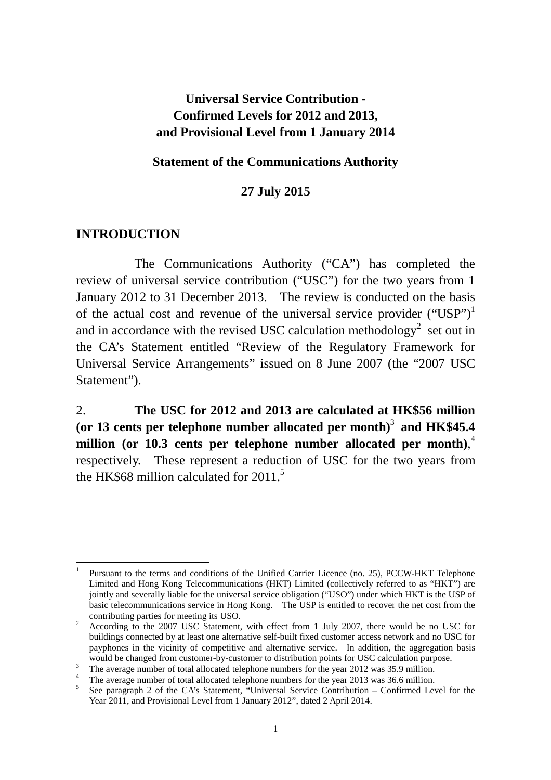## **Universal Service Contribution - Confirmed Levels for 2012 and 2013, and Provisional Level from 1 January 2014**

#### **Statement of the Communications Authority**

#### **27 July 2015**

#### **INTRODUCTION**

 The Communications Authority ("CA") has completed the review of universal service contribution ("USC") for the two years from 1 January 2012 to 31 December 2013. The review is conducted on the basis of the actual cost and revenue of the universal service provider  $("USP")^1$ and in accordance with the revised USC calculation methodology<sup>2</sup> set out in the CA's Statement entitled "Review of the Regulatory Framework for Universal Service Arrangements" issued on 8 June 2007 (the "2007 USC Statement").

2. **The USC for 2012 and 2013 are calculated at HK\$56 million**  (or 13 cents per telephone number allocated per month)<sup>3</sup> and HK\$45.4 **million (or 10.3 cents per telephone number allocated per month)**, 4 respectively. These represent a reduction of USC for the two years from the HK\$68 million calculated for  $2011<sup>5</sup>$ 

 $\overline{a}$ 1 Pursuant to the terms and conditions of the Unified Carrier Licence (no. 25), PCCW-HKT Telephone Limited and Hong Kong Telecommunications (HKT) Limited (collectively referred to as "HKT") are jointly and severally liable for the universal service obligation ("USO") under which HKT is the USP of basic telecommunications service in Hong Kong. The USP is entitled to recover the net cost from the contributing parties for meeting its USO.

<sup>2</sup> According to the 2007 USC Statement, with effect from 1 July 2007, there would be no USC for buildings connected by at least one alternative self-built fixed customer access network and no USC for payphones in the vicinity of competitive and alternative service. In addition, the aggregation basis would be changed from customer-by-customer to distribution points for USC calculation purpose.

<sup>&</sup>lt;sup>3</sup> The average number of total allocated telephone numbers for the year 2012 was 35.9 million.

<sup>&</sup>lt;sup>4</sup> The average number of total allocated telephone numbers for the year 2013 was 36.6 million.

See paragraph 2 of the CA's Statement, "Universal Service Contribution – Confirmed Level for the Year 2011, and Provisional Level from 1 January 2012", dated 2 April 2014.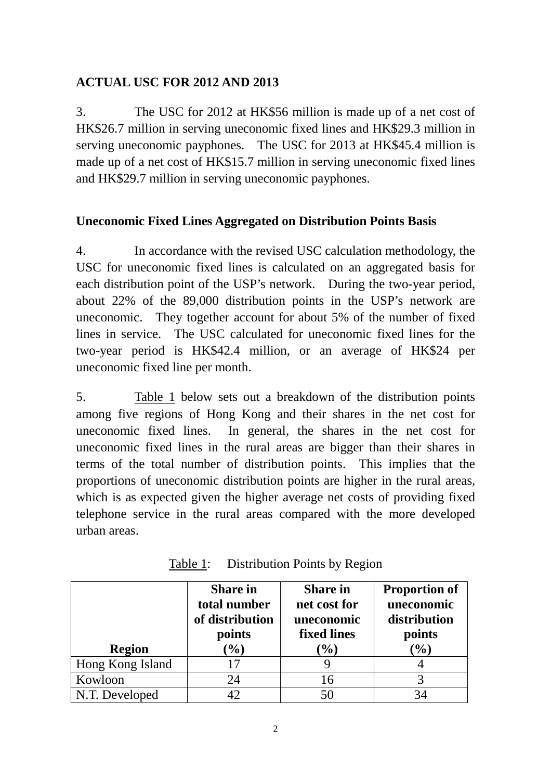# **ACTUAL USC FOR 2012 AND 2013**

3. The USC for 2012 at HK\$56 million is made up of a net cost of HK\$26.7 million in serving uneconomic fixed lines and HK\$29.3 million in serving uneconomic payphones. The USC for 2013 at HK\$45.4 million is made up of a net cost of HK\$15.7 million in serving uneconomic fixed lines and HK\$29.7 million in serving uneconomic payphones.

# **Uneconomic Fixed Lines Aggregated on Distribution Points Basis**

4. In accordance with the revised USC calculation methodology, the USC for uneconomic fixed lines is calculated on an aggregated basis for each distribution point of the USP's network. During the two-year period, about 22% of the 89,000 distribution points in the USP's network are uneconomic. They together account for about 5% of the number of fixed lines in service. The USC calculated for uneconomic fixed lines for the two-year period is HK\$42.4 million, or an average of HK\$24 per uneconomic fixed line per month.

5. Table 1 below sets out a breakdown of the distribution points among five regions of Hong Kong and their shares in the net cost for uneconomic fixed lines. In general, the shares in the net cost for uneconomic fixed lines in the rural areas are bigger than their shares in terms of the total number of distribution points. This implies that the proportions of uneconomic distribution points are higher in the rural areas, which is as expected given the higher average net costs of providing fixed telephone service in the rural areas compared with the more developed urban areas.

|                  | <b>Share in</b><br>total number<br>of distribution<br>points | <b>Share in</b><br>net cost for<br>uneconomic<br>fixed lines | <b>Proportion of</b><br>uneconomic<br>distribution<br>points |
|------------------|--------------------------------------------------------------|--------------------------------------------------------------|--------------------------------------------------------------|
| <b>Region</b>    | $(\%)$                                                       | $(\%)$                                                       | $(\%)$                                                       |
| Hong Kong Island | 17                                                           |                                                              |                                                              |
| Kowloon          | 24                                                           | 16                                                           | 3                                                            |
| N.T. Developed   |                                                              | 50                                                           | 34                                                           |

Table 1: Distribution Points by Region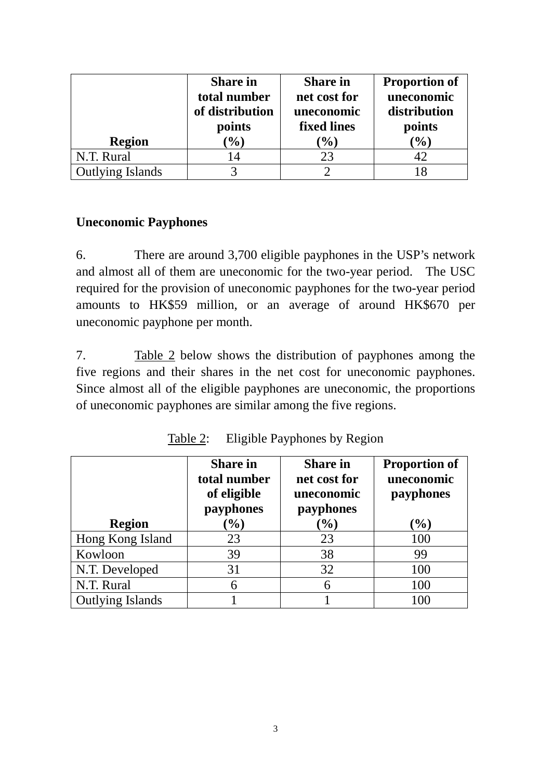|                  | <b>Share in</b><br>total number<br>of distribution<br>points | <b>Share in</b><br>net cost for<br>uneconomic<br>fixed lines | <b>Proportion of</b><br>uneconomic<br>distribution<br>points |
|------------------|--------------------------------------------------------------|--------------------------------------------------------------|--------------------------------------------------------------|
| <b>Region</b>    | (9/0)                                                        | $\mathcal{O}_0$                                              | $(\%)$                                                       |
| N.T. Rural       | 14                                                           | 23                                                           | 42                                                           |
| Outlying Islands | 2                                                            | ി                                                            | 18                                                           |

## **Uneconomic Payphones**

6. There are around 3,700 eligible payphones in the USP's network and almost all of them are uneconomic for the two-year period. The USC required for the provision of uneconomic payphones for the two-year period amounts to HK\$59 million, or an average of around HK\$670 per uneconomic payphone per month.

7. Table 2 below shows the distribution of payphones among the five regions and their shares in the net cost for uneconomic payphones. Since almost all of the eligible payphones are uneconomic, the proportions of uneconomic payphones are similar among the five regions.

| <b>Region</b>           | <b>Share in</b><br>total number<br>of eligible<br>payphones<br>$(\%)$ | <b>Share in</b><br>net cost for<br>uneconomic<br>payphones<br>$\mathcal{O}_0$ | <b>Proportion of</b><br>uneconomic<br>payphones<br>$(\%)$ |
|-------------------------|-----------------------------------------------------------------------|-------------------------------------------------------------------------------|-----------------------------------------------------------|
| Hong Kong Island        | 23                                                                    | 23                                                                            | 100                                                       |
| Kowloon                 | 39                                                                    | 38                                                                            | 99                                                        |
| N.T. Developed          | 31                                                                    | 32                                                                            | 100                                                       |
| N.T. Rural              | 6                                                                     | 6                                                                             | 100                                                       |
| <b>Outlying Islands</b> |                                                                       |                                                                               | 100                                                       |

Table 2: Eligible Payphones by Region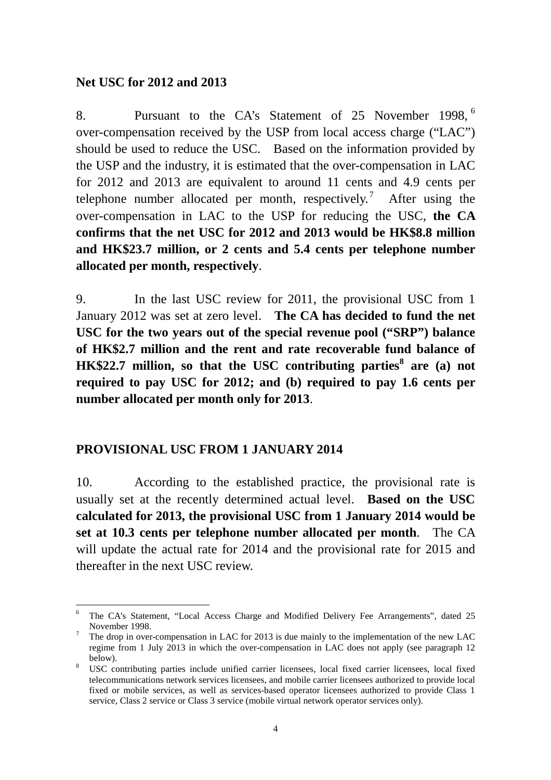#### **Net USC for 2012 and 2013**

8. Pursuant to the CA's Statement of 25 November 1998, <sup>6</sup> over-compensation received by the USP from local access charge ("LAC") should be used to reduce the USC. Based on the information provided by the USP and the industry, it is estimated that the over-compensation in LAC for 2012 and 2013 are equivalent to around 11 cents and 4.9 cents per telephone number allocated per month, respectively.<sup>7</sup> After using the over-compensation in LAC to the USP for reducing the USC, **the CA confirms that the net USC for 2012 and 2013 would be HK\$8.8 million and HK\$23.7 million, or 2 cents and 5.4 cents per telephone number allocated per month, respectively**.

9. In the last USC review for 2011, the provisional USC from 1 January 2012 was set at zero level. **The CA has decided to fund the net USC for the two years out of the special revenue pool ("SRP") balance of HK\$2.7 million and the rent and rate recoverable fund balance of HK\$22.7 million, so that the USC contributing parties<sup>8</sup> are (a) not required to pay USC for 2012; and (b) required to pay 1.6 cents per number allocated per month only for 2013**.

### **PROVISIONAL USC FROM 1 JANUARY 2014**

10. According to the established practice, the provisional rate is usually set at the recently determined actual level. **Based on the USC calculated for 2013, the provisional USC from 1 January 2014 would be set at 10.3 cents per telephone number allocated per month**. The CA will update the actual rate for 2014 and the provisional rate for 2015 and thereafter in the next USC review.

 $\overline{a}$ 6 The CA's Statement, "Local Access Charge and Modified Delivery Fee Arrangements", dated 25 November 1998.

<sup>7</sup> The drop in over-compensation in LAC for 2013 is due mainly to the implementation of the new LAC regime from 1 July 2013 in which the over-compensation in LAC does not apply (see paragraph 12 below).

<sup>&</sup>lt;sup>8</sup> USC contributing parties include unified carrier licensees, local fixed carrier licensees, local fixed telecommunications network services licensees, and mobile carrier licensees authorized to provide local fixed or mobile services, as well as services-based operator licensees authorized to provide Class 1 service, Class 2 service or Class 3 service (mobile virtual network operator services only).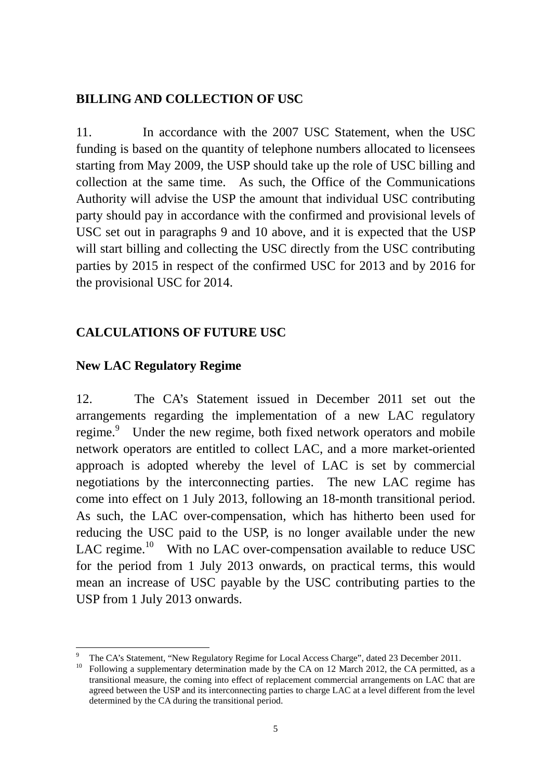### **BILLING AND COLLECTION OF USC**

11. In accordance with the 2007 USC Statement, when the USC funding is based on the quantity of telephone numbers allocated to licensees starting from May 2009, the USP should take up the role of USC billing and collection at the same time. As such, the Office of the Communications Authority will advise the USP the amount that individual USC contributing party should pay in accordance with the confirmed and provisional levels of USC set out in paragraphs 9 and 10 above, and it is expected that the USP will start billing and collecting the USC directly from the USC contributing parties by 2015 in respect of the confirmed USC for 2013 and by 2016 for the provisional USC for 2014.

## **CALCULATIONS OF FUTURE USC**

### **New LAC Regulatory Regime**

 $\overline{a}$ 

12. The CA's Statement issued in December 2011 set out the arrangements regarding the implementation of a new LAC regulatory regime.<sup>9</sup> Under the new regime, both fixed network operators and mobile network operators are entitled to collect LAC, and a more market-oriented approach is adopted whereby the level of LAC is set by commercial negotiations by the interconnecting parties. The new LAC regime has come into effect on 1 July 2013, following an 18-month transitional period. As such, the LAC over-compensation, which has hitherto been used for reducing the USC paid to the USP, is no longer available under the new LAC regime.<sup>10</sup> With no LAC over-compensation available to reduce USC for the period from 1 July 2013 onwards, on practical terms, this would mean an increase of USC payable by the USC contributing parties to the USP from 1 July 2013 onwards.

<sup>9</sup> The CA's Statement, "New Regulatory Regime for Local Access Charge", dated 23 December 2011.

Following a supplementary determination made by the CA on 12 March 2012, the CA permitted, as a transitional measure, the coming into effect of replacement commercial arrangements on LAC that are agreed between the USP and its interconnecting parties to charge LAC at a level different from the level determined by the CA during the transitional period.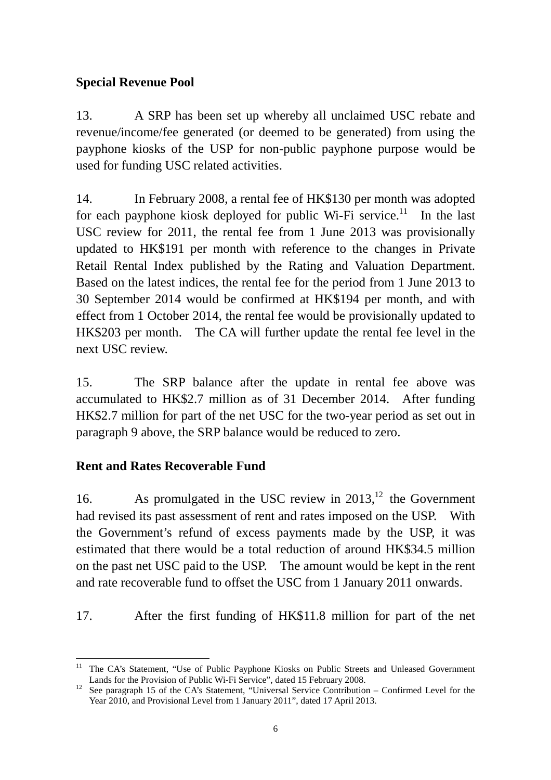# **Special Revenue Pool**

13. A SRP has been set up whereby all unclaimed USC rebate and revenue/income/fee generated (or deemed to be generated) from using the payphone kiosks of the USP for non-public payphone purpose would be used for funding USC related activities.

14. In February 2008, a rental fee of HK\$130 per month was adopted for each payphone kiosk deployed for public Wi-Fi service.<sup>11</sup> In the last USC review for 2011, the rental fee from 1 June 2013 was provisionally updated to HK\$191 per month with reference to the changes in Private Retail Rental Index published by the Rating and Valuation Department. Based on the latest indices, the rental fee for the period from 1 June 2013 to 30 September 2014 would be confirmed at HK\$194 per month, and with effect from 1 October 2014, the rental fee would be provisionally updated to HK\$203 per month. The CA will further update the rental fee level in the next USC review.

15. The SRP balance after the update in rental fee above was accumulated to HK\$2.7 million as of 31 December 2014. After funding HK\$2.7 million for part of the net USC for the two-year period as set out in paragraph 9 above, the SRP balance would be reduced to zero.

## **Rent and Rates Recoverable Fund**

16. As promulgated in the USC review in  $2013$ ,<sup>12</sup> the Government had revised its past assessment of rent and rates imposed on the USP. With the Government's refund of excess payments made by the USP, it was estimated that there would be a total reduction of around HK\$34.5 million on the past net USC paid to the USP. The amount would be kept in the rent and rate recoverable fund to offset the USC from 1 January 2011 onwards.

17. After the first funding of HK\$11.8 million for part of the net

 $\overline{a}$ <sup>11</sup> The CA's Statement, "Use of Public Payphone Kiosks on Public Streets and Unleased Government Lands for the Provision of Public Wi-Fi Service", dated 15 February 2008.

<sup>&</sup>lt;sup>12</sup> See paragraph 15 of the CA's Statement, "Universal Service Contribution – Confirmed Level for the Year 2010, and Provisional Level from 1 January 2011", dated 17 April 2013.